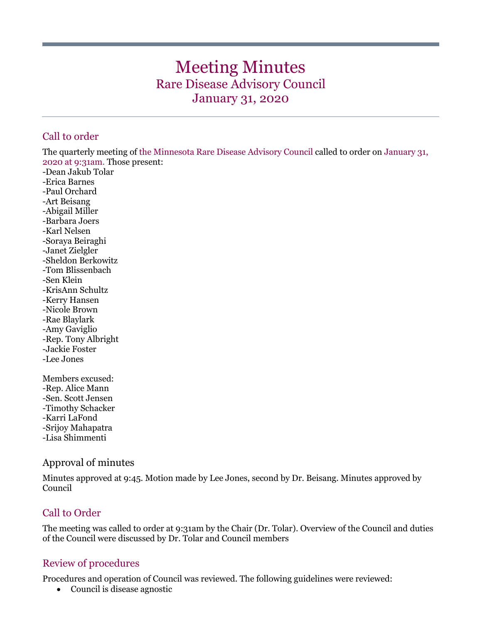# Meeting Minutes Rare Disease Advisory Council January 31, 2020

## Call to order

The quarterly meeting of the Minnesota Rare Disease Advisory Council called to order on January 31, 2020 at 9:31am. Those present:

-Dean Jakub Tolar -Erica Barnes -Paul Orchard -Art Beisang -Abigail Miller -Barbara Joers -Karl Nelsen -Soraya Beiraghi -Janet Zielgler -Sheldon Berkowitz -Tom Blissenbach -Sen Klein -KrisAnn Schultz -Kerry Hansen -Nicole Brown -Rae Blaylark -Amy Gaviglio -Rep. Tony Albright -Jackie Foster -Lee Jones

Members excused: -Rep. Alice Mann -Sen. Scott Jensen -Timothy Schacker -Karri LaFond -Srijoy Mahapatra -Lisa Shimmenti

## Approval of minutes

Minutes approved at 9:45. Motion made by Lee Jones, second by Dr. Beisang. Minutes approved by Council

## Call to Order

The meeting was called to order at 9:31am by the Chair (Dr. Tolar). Overview of the Council and duties of the Council were discussed by Dr. Tolar and Council members

### Review of procedures

Procedures and operation of Council was reviewed. The following guidelines were reviewed:

• Council is disease agnostic